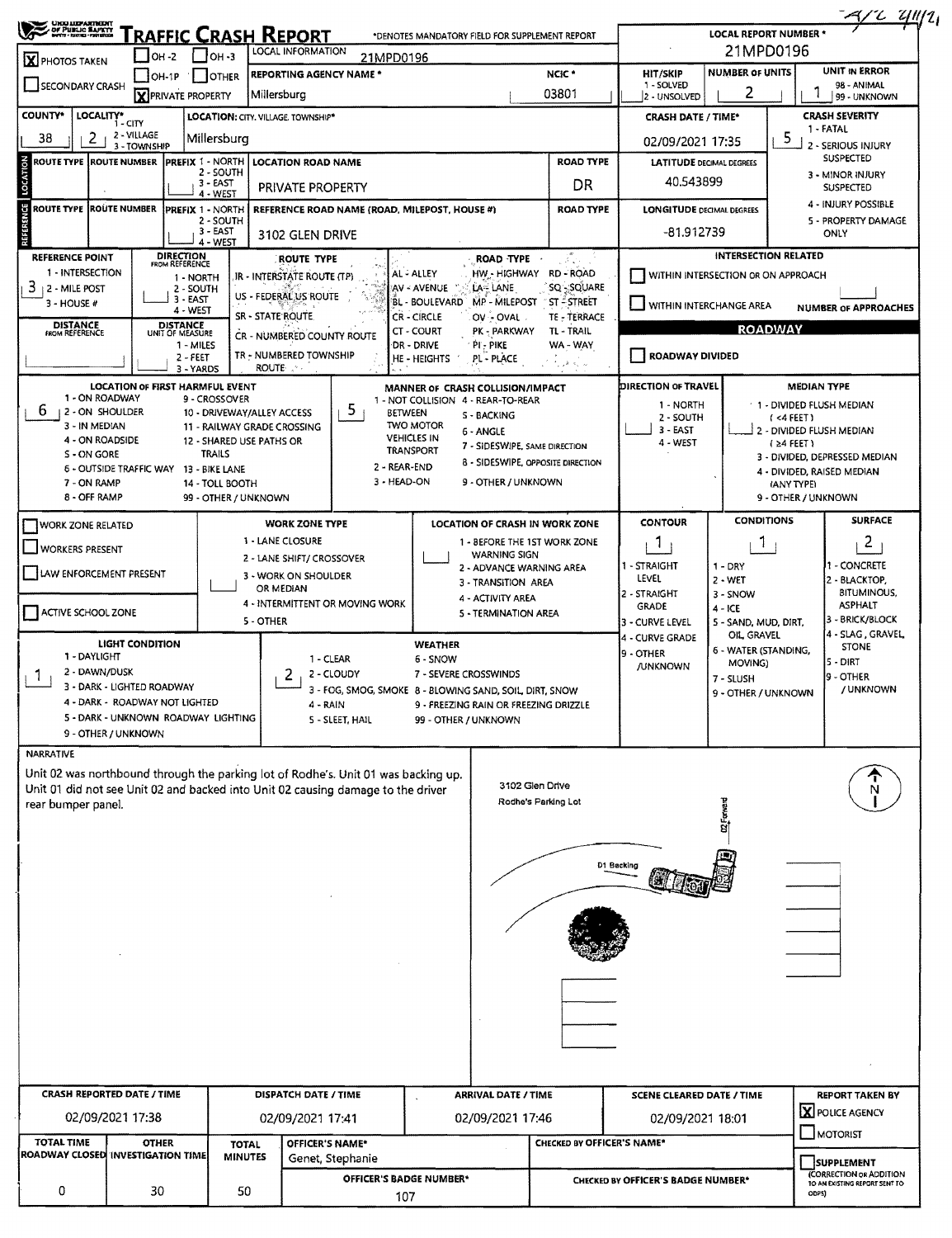|                                                                    |                                    |                             |                                        |                                        |                                                                                                                                                                        |                  |                                                         |                                                               |                                   |                                        |                                     |                                   | $-4/2$ 4/12                                                                         |
|--------------------------------------------------------------------|------------------------------------|-----------------------------|----------------------------------------|----------------------------------------|------------------------------------------------------------------------------------------------------------------------------------------------------------------------|------------------|---------------------------------------------------------|---------------------------------------------------------------|-----------------------------------|----------------------------------------|-------------------------------------|-----------------------------------|-------------------------------------------------------------------------------------|
| <b>UHO UEPARTMENT</b><br>- Of PUBLIC BAPETY<br>- WYTH COOL-FRIECOL |                                    |                             |                                        |                                        | <u>Traffic Crash Report</u>                                                                                                                                            |                  | *DENOTES MANDATORY FIELD FOR SUPPLEMENT REPORT          |                                                               |                                   |                                        | <b>LOCAL REPORT NUMBER *</b>        |                                   |                                                                                     |
| X PHOTOS TAKEN                                                     |                                    | $IOH - 2$                   |                                        | $\Box$ OH -3                           | LOCAL INFORMATION                                                                                                                                                      |                  | 21MPD0196                                               |                                                               |                                   |                                        | 21MPD0196                           |                                   | UNIT IN ERROR                                                                       |
| SECONDARY CRASH                                                    |                                    | $IOH-1P$                    | <b>X</b> PRIVATE PROPERTY              | I JOTHER                               | <b>REPORTING AGENCY NAME *</b><br>Millersburg                                                                                                                          |                  |                                                         |                                                               | NCIC <sup>*</sup><br>03801        | HIT/SKIP<br>1 - SOLVED<br>2 - UNSOLVED | <b>NUMBER OF UNITS</b><br>2         |                                   | 98 - ANIMAL<br>99 - UNKNOWN                                                         |
| <b>COUNTY*</b>                                                     | LOCALITY*<br>1 - CITY              |                             |                                        |                                        | LOCATION: CITY. VILLAGE. TOWNSHIP*                                                                                                                                     |                  |                                                         |                                                               |                                   | <b>CRASH DATE / TIME*</b>              |                                     |                                   | <b>CRASH SEVERITY</b>                                                               |
| 38                                                                 | 2                                  | 2 - VILLAGE<br>3 - TOWNSHIP |                                        | Millersburg                            |                                                                                                                                                                        |                  |                                                         |                                                               |                                   | 02/09/2021 17:35                       |                                     | 5.                                | 1 - FATAL<br>2 - SERIOUS INJURY                                                     |
| ROUTE TYPE  ROUTE NUMBER                                           |                                    |                             | <b>PREFIX 1 - NORTH</b>                |                                        | <b>LOCATION ROAD NAME</b>                                                                                                                                              |                  |                                                         |                                                               | <b>ROAD TYPE</b>                  | <b>LATITUDE DECIMAL DEGREES</b>        |                                     |                                   | <b>SUSPECTED</b>                                                                    |
|                                                                    |                                    |                             |                                        | 2 - SOUTH<br>3 - EAST                  | PRIVATE PROPERTY                                                                                                                                                       |                  |                                                         |                                                               | DR                                | 40.543899                              |                                     |                                   | 3 - MINOR INJURY<br><b>SUSPECTED</b>                                                |
| <b>ROUTE TYPE ROUTE NUMBER</b>                                     |                                    |                             | PREFIX 1 - NORTH                       | 4 - WEST                               |                                                                                                                                                                        |                  | REFERENCE ROAD NAME (ROAD, MILEPOST, HOUSE #)           |                                                               | <b>ROAD TYPE</b>                  | <b>LONGITUDE DECIMAL DEGREES</b>       |                                     |                                   | 4 - INJURY POSSIBLE                                                                 |
|                                                                    |                                    |                             |                                        | 2 - SOUTH<br>3 - EAST                  | 3102 GLEN DRIVE                                                                                                                                                        |                  |                                                         |                                                               |                                   | $-81.912739$                           |                                     |                                   | 5 - PROPERTY DAMAGE<br>ONLY                                                         |
| <b>REFERENCE POINT</b>                                             |                                    |                             | <b>DIRECTION</b>                       | 4 - WEST                               |                                                                                                                                                                        |                  |                                                         |                                                               |                                   |                                        | <b>INTERSECTION RELATED</b>         |                                   |                                                                                     |
| 1 - INTERSECTION                                                   |                                    |                             | FROM REFERENCE<br>1 - NORTH            |                                        | ROUTE TYPE<br>IR - INTERSTATE ROUTE (TP)                                                                                                                               |                  | AL-ALLEY                                                | ROAD TYPE<br>HW - HIGHWAY                                     | RD - ROAD                         | WITHIN INTERSECTION OR ON APPROACH     |                                     |                                   |                                                                                     |
| 3<br>  2 - MILE POST                                               |                                    |                             | 2 - SOUTH<br>$3 - EAST$                |                                        | US - FEDERAL US ROUTE                                                                                                                                                  |                  | AV - AVENUE                                             | LA-LANE                                                       | SQ SQUARE                         |                                        |                                     |                                   |                                                                                     |
| 3 - HOUSE #                                                        |                                    |                             | 4 - WEST                               |                                        | SR - STATE ROUTE.                                                                                                                                                      |                  | BL - BOULEVARD<br>CR - CIRCLE                           | MP - MILEPOST<br>OV - OVAL                                    | ST - STREET<br>TE - TERRACE       | WITHIN INTERCHANGE AREA                |                                     |                                   | <b>NUMBER OF APPROACHES</b>                                                         |
| <b>DISTANCE</b><br>FROM REFERENCE                                  |                                    |                             | <b>DISTANCE</b><br>UNIT OF MEASURE     |                                        | CR - NUMBERED COUNTY ROUTE                                                                                                                                             |                  | CT - COURT                                              | PK - PARKWAY                                                  | TL - TRAIL                        |                                        |                                     | <b>ROADWAY</b>                    |                                                                                     |
|                                                                    |                                    |                             | 1 - MILES<br>$2 - FEET$<br>3 - YARDS   |                                        | TR - NUMBERED TOWNSHIP<br><b>ROUTE</b>                                                                                                                                 |                  | DR - DRIVE<br>HE-HEIGHTS                                | $PI - PIKE$<br>PL - PLACE                                     | WA - WAY                          | ROADWAY DIVIDED                        |                                     |                                   |                                                                                     |
|                                                                    |                                    |                             |                                        | <b>LOCATION OF FIRST HARMFUL EVENT</b> |                                                                                                                                                                        |                  | MANNER OF CRASH COLLISION/IMPACT                        |                                                               |                                   | <b>DIRECTION OF TRAVEL</b>             |                                     | <b>MEDIAN TYPE</b>                |                                                                                     |
| 6.                                                                 | 1 - ON ROADWAY<br>12 - ON SHOULDER |                             |                                        | 9 - CROSSOVER                          | 10 - DRIVEWAY/ALLEY ACCESS                                                                                                                                             | 5.               | 1 - NOT COLLISION 4 - REAR-TO-REAR<br><b>BETWEEN</b>    | S - BACKING                                                   |                                   | 1 - NORTH<br>2 - SOUTH                 |                                     |                                   | 1 - DIVIDED FLUSH MEDIAN                                                            |
|                                                                    | 3 - IN MEDIAN                      |                             |                                        |                                        | 11 - RAILWAY GRADE CROSSING                                                                                                                                            |                  | <b>TWO MOTOR</b><br><b>VEHICLES IN</b>                  | 6 - ANGLE                                                     |                                   | 3 - EAST                               |                                     | $(4$ FEET)                        | 2 - DIVIDED FLUSH MEDIAN                                                            |
| S - ON GORE                                                        | 4 - ON ROADSIDE                    |                             |                                        | <b>TRAILS</b>                          | 12 - SHARED USE PATHS OR                                                                                                                                               |                  | <b>TRANSPORT</b>                                        | 7 - SIDESWIPE, SAME DIRECTION                                 |                                   | 4 - WEST                               |                                     | $(24$ FEET)                       | 3 - DIVIDED, DEPRESSED MEDIAN                                                       |
| 7 - ON RAMP                                                        |                                    |                             | 6 - OUTSIDE TRAFFIC WAY 13 - BIKE LANE | 14 - TOLL BOOTH                        |                                                                                                                                                                        |                  | 2 - REAR-END<br>3 - HEAD-ON                             | 8 - SIDESWIPE, OPPOSITE DIRECTION<br>9 - OTHER / UNKNOWN      |                                   |                                        |                                     |                                   | 4 - DIVIDED, RAISED MEDIAN                                                          |
|                                                                    | 8 - OFF RAMP                       |                             |                                        | 99 - OTHER / UNKNOWN                   |                                                                                                                                                                        |                  |                                                         |                                                               |                                   |                                        |                                     | (ANY TYPE)<br>9 - OTHER / UNKNOWN |                                                                                     |
| <b>WORK ZONE RELATED</b>                                           |                                    |                             |                                        |                                        | <b>WORK ZONE TYPE</b>                                                                                                                                                  |                  |                                                         | LOCATION OF CRASH IN WORK ZONE                                |                                   | <b>CONTOUR</b>                         | <b>CONDITIONS</b>                   |                                   | <b>SURFACE</b>                                                                      |
| J WORKERS PRESENT                                                  |                                    |                             |                                        |                                        | 1 - LANE CLOSURE                                                                                                                                                       |                  |                                                         | 1 - BEFORE THE 1ST WORK ZONE                                  |                                   | 1                                      | Т.                                  |                                   | $\overline{2}$                                                                      |
|                                                                    |                                    |                             |                                        |                                        | 2 - LANE SHIFT/ CROSSOVER                                                                                                                                              |                  |                                                         | <b>WARNING SIGN</b><br>2 - ADVANCE WARNING AREA               |                                   | 1 - STRAIGHT                           | $1 - DRY$                           |                                   | 1 - CONCRETE                                                                        |
| LAW ENFORCEMENT PRESENT                                            |                                    |                             |                                        |                                        | 3 - WORK ON SHOULDER<br>OR MEDIAN                                                                                                                                      |                  |                                                         | 3 - TRANSITION AREA                                           |                                   | LEVEL<br>2 - STRAIGHT                  | $2 - WET$<br>3 - SNOW               |                                   | 2 - BLACKTOP,<br><b>BITUMINOUS,</b>                                                 |
| ACTIVE SCHOOL ZONE                                                 |                                    |                             |                                        |                                        | 4 - INTERMITTENT OR MOVING WORK                                                                                                                                        |                  |                                                         | 4 - ACTIVITY AREA<br>5 - TERMINATION AREA                     |                                   | <b>GRADE</b>                           | $4 - ICE$                           |                                   | <b>ASPHALT</b>                                                                      |
|                                                                    |                                    |                             |                                        |                                        | 5 - OTHER                                                                                                                                                              |                  |                                                         |                                                               |                                   | 3 - CURVE LEVEL<br>4 - CURVE GRADE     | 5 - SAND, MUD, DIRT,<br>OIL, GRAVEL |                                   | 3 - BRICK/BLOCK<br>4 - SLAG, GRAVEL                                                 |
| 1 - DAYLIGHT                                                       |                                    | <b>LIGHT CONDITION</b>      |                                        |                                        |                                                                                                                                                                        | 1 - CLEAR        | <b>WEATHER</b><br>6 - SNOW                              |                                                               |                                   | 19 - OTHER                             | 6 - WATER (STANDING,                |                                   | <b>STONE</b>                                                                        |
| 1                                                                  | 2 - DAWN/DUSK                      |                             |                                        |                                        | 2                                                                                                                                                                      | 2 - CLOUDY       |                                                         | 7 - SEVERE CROSSWINDS                                         |                                   | <b>JUNKNOWN</b>                        | MOVING)<br>7 - SLUSH                |                                   | ls - Dirt<br>9 - OTHER                                                              |
|                                                                    | 3 - DARK - LIGHTED ROADWAY         |                             | 4 - DARK - ROADWAY NOT LIGHTED         |                                        |                                                                                                                                                                        |                  | 3 - FOG, SMOG, SMOKE 8 - BLOWING SAND, SOIL, DIRT, SNOW |                                                               |                                   |                                        | 9 - OTHER / UNKNOWN                 |                                   | / UNKNOWN                                                                           |
|                                                                    |                                    |                             |                                        | 5 - DARK - UNKNOWN ROADWAY LIGHTING    | 4 - RAIN                                                                                                                                                               | S - SLEET, HAIL  |                                                         | 9 - FREEZING RAIN OR FREEZING DRIZZLE<br>99 - OTHER / UNKNOWN |                                   |                                        |                                     |                                   |                                                                                     |
|                                                                    | 9 - OTHER / UNKNOWN                |                             |                                        |                                        |                                                                                                                                                                        |                  |                                                         |                                                               |                                   |                                        |                                     |                                   |                                                                                     |
| <b>NARRATIVE</b>                                                   |                                    |                             |                                        |                                        |                                                                                                                                                                        |                  |                                                         |                                                               |                                   |                                        |                                     |                                   |                                                                                     |
|                                                                    |                                    |                             |                                        |                                        | Unit 02 was northbound through the parking lot of Rodhe's. Unit 01 was backing up.<br>Unit 01 did not see Unit 02 and backed into Unit 02 causing damage to the driver |                  |                                                         |                                                               | 3102 Glen Drive                   |                                        |                                     |                                   |                                                                                     |
| rear bumper panel.                                                 |                                    |                             |                                        |                                        |                                                                                                                                                                        |                  |                                                         |                                                               | Rodhe's Parking Lot               |                                        |                                     |                                   |                                                                                     |
|                                                                    |                                    |                             |                                        |                                        |                                                                                                                                                                        |                  |                                                         |                                                               |                                   |                                        |                                     |                                   |                                                                                     |
|                                                                    |                                    |                             |                                        |                                        |                                                                                                                                                                        |                  |                                                         |                                                               |                                   |                                        |                                     |                                   |                                                                                     |
|                                                                    |                                    |                             |                                        |                                        |                                                                                                                                                                        |                  |                                                         |                                                               |                                   | D1 Becking                             |                                     |                                   |                                                                                     |
|                                                                    |                                    |                             |                                        |                                        |                                                                                                                                                                        |                  |                                                         |                                                               |                                   |                                        |                                     |                                   |                                                                                     |
|                                                                    |                                    |                             |                                        |                                        |                                                                                                                                                                        |                  |                                                         |                                                               |                                   |                                        |                                     |                                   |                                                                                     |
|                                                                    |                                    |                             |                                        |                                        |                                                                                                                                                                        |                  |                                                         |                                                               |                                   |                                        |                                     |                                   |                                                                                     |
|                                                                    |                                    |                             |                                        |                                        |                                                                                                                                                                        |                  |                                                         |                                                               |                                   |                                        |                                     |                                   |                                                                                     |
|                                                                    |                                    |                             |                                        |                                        |                                                                                                                                                                        |                  |                                                         |                                                               |                                   |                                        |                                     |                                   |                                                                                     |
|                                                                    |                                    |                             |                                        |                                        |                                                                                                                                                                        |                  |                                                         |                                                               |                                   |                                        |                                     |                                   |                                                                                     |
|                                                                    |                                    |                             |                                        |                                        |                                                                                                                                                                        |                  |                                                         |                                                               |                                   |                                        |                                     |                                   |                                                                                     |
|                                                                    |                                    |                             |                                        |                                        |                                                                                                                                                                        |                  |                                                         |                                                               |                                   |                                        |                                     |                                   |                                                                                     |
|                                                                    |                                    |                             |                                        |                                        |                                                                                                                                                                        |                  |                                                         |                                                               |                                   |                                        |                                     |                                   |                                                                                     |
|                                                                    | <b>CRASH REPORTED DATE / TIME</b>  |                             |                                        |                                        | DISPATCH DATE / TIME                                                                                                                                                   |                  |                                                         | <b>ARRIVAL DATE / TIME</b>                                    |                                   | <b>SCENE CLEARED DATE / TIME</b>       |                                     |                                   | <b>REPORT TAKEN BY</b>                                                              |
|                                                                    |                                    | 02/09/2021 17:38            |                                        |                                        | 02/09/2021 17:41                                                                                                                                                       |                  |                                                         | 02/09/2021 17:46                                              |                                   | 02/09/2021 18:01                       |                                     |                                   | <b>X</b> POLICE AGENCY<br>MOTORIST                                                  |
|                                                                    |                                    |                             |                                        |                                        |                                                                                                                                                                        |                  |                                                         |                                                               |                                   |                                        |                                     |                                   |                                                                                     |
| <b>TOTAL TIME</b>                                                  |                                    | <b>OTHER</b>                |                                        | <b>TOTAL</b><br><b>MINUTES</b>         | OFFICER'S NAME*                                                                                                                                                        |                  |                                                         |                                                               | <b>CHECKED BY OFFICER'S NAME*</b> |                                        |                                     |                                   |                                                                                     |
| ROADWAY CLOSED INVESTIGATION TIME<br>0                             |                                    | 30                          |                                        |                                        |                                                                                                                                                                        | Genet, Stephanie | OFFICER'S BADGE NUMBER*                                 |                                                               |                                   | CHECKED BY OFFICER'S BADGE NUMBER*     |                                     |                                   | <b>SUPPLEMENT</b><br><b>CORRECTION OR ADDITION</b><br>TO AN EXISTING REPORT SENT TO |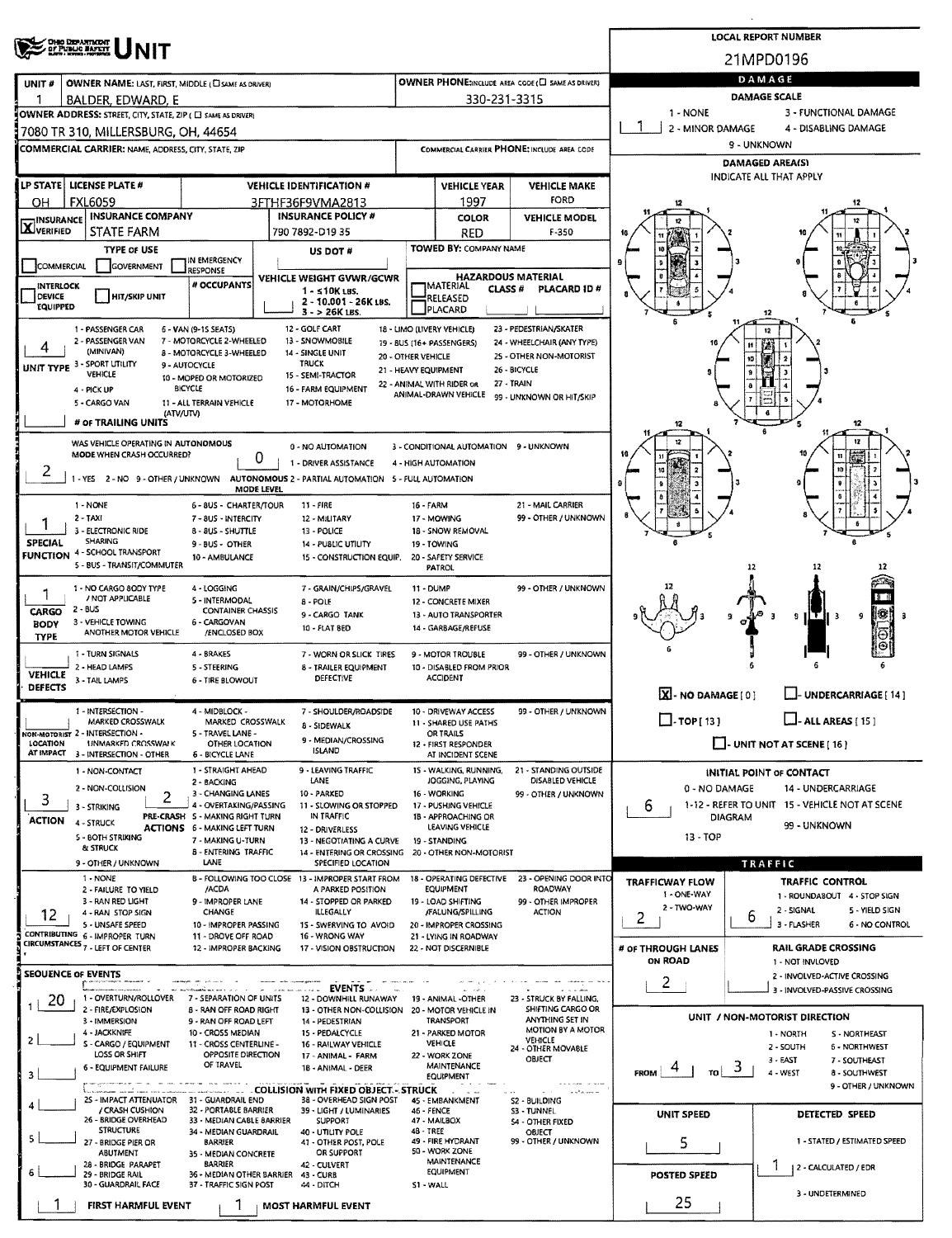|                                          | <b>OHO DEPARTMENT</b><br>OF PUBLIC BAFETT                                                                                                            |                                                                                                                                                                                     |                                                                                                                                     |                                            |                                                                                                              |                                                                                                                                           |                                      | <b>LOCAL REPORT NUMBER</b>                          |                                                                      |
|------------------------------------------|------------------------------------------------------------------------------------------------------------------------------------------------------|-------------------------------------------------------------------------------------------------------------------------------------------------------------------------------------|-------------------------------------------------------------------------------------------------------------------------------------|--------------------------------------------|--------------------------------------------------------------------------------------------------------------|-------------------------------------------------------------------------------------------------------------------------------------------|--------------------------------------|-----------------------------------------------------|----------------------------------------------------------------------|
|                                          |                                                                                                                                                      |                                                                                                                                                                                     |                                                                                                                                     |                                            |                                                                                                              |                                                                                                                                           |                                      | 21MPD0196                                           |                                                                      |
| UNIT#                                    | OWNER NAME: LAST, FIRST, MIDDLE (CI SAME AS DRIVER)                                                                                                  |                                                                                                                                                                                     |                                                                                                                                     |                                            |                                                                                                              | <b>OWNER PHONE: AREA CODE (E) SAME AS DRIVER)</b>                                                                                         |                                      | DAMAGE<br><b>DAMAGE SCALE</b>                       |                                                                      |
|                                          | BALDER, EDWARD, E<br>OWNER ADDRESS: STREET, CITY, STATE, ZIP ( E) SAME AS DRIVERY                                                                    |                                                                                                                                                                                     |                                                                                                                                     |                                            | 330-231-3315                                                                                                 |                                                                                                                                           | 1 - NONE                             |                                                     | 3 - FUNCTIONAL DAMAGE                                                |
|                                          | 7080 TR 310, MILLERSBURG, OH, 44654                                                                                                                  |                                                                                                                                                                                     |                                                                                                                                     |                                            |                                                                                                              |                                                                                                                                           | 2 - MINOR DAMAGE                     | 9 - UNKNOWN                                         | 4 - DISABLING DAMAGE                                                 |
|                                          | <b>COMMERCIAL CARRIER: NAME, ADDRESS, CITY, STATE, ZIP</b>                                                                                           |                                                                                                                                                                                     |                                                                                                                                     |                                            |                                                                                                              | COMMERCIAL CARRIER PHONE: INCLUDE AREA CODE                                                                                               |                                      | DAMAGED AREA(S)                                     |                                                                      |
|                                          | LP STATE  LICENSE PLATE #                                                                                                                            |                                                                                                                                                                                     | <b>VEHICLE IDENTIFICATION #</b>                                                                                                     |                                            | <b>VEHICLE YEAR</b>                                                                                          | <b>VEHICLE MAKE</b>                                                                                                                       |                                      | <b>INDICATE ALL THAT APPLY</b>                      |                                                                      |
| OН                                       | <b>FXL6059</b>                                                                                                                                       |                                                                                                                                                                                     | 3FTHF36F9VMA2813                                                                                                                    |                                            | 1997                                                                                                         | FORD                                                                                                                                      |                                      |                                                     |                                                                      |
| <b>INSURANCE</b><br><b>X</b> VERIFIED    | <b>INSURANCE COMPANY</b><br>STATE FARM                                                                                                               |                                                                                                                                                                                     | <b>INSURANCE POLICY #</b><br>790 7892-D19 35                                                                                        |                                            | <b>COLOR</b><br>RED                                                                                          | <b>VEHICLE MODEL</b><br>F-350                                                                                                             |                                      |                                                     |                                                                      |
|                                          | <b>TYPE OF USE</b>                                                                                                                                   | IN EMERGENCY                                                                                                                                                                        | US DOT#                                                                                                                             |                                            | TOWED BY: COMPANY NAME                                                                                       |                                                                                                                                           |                                      |                                                     |                                                                      |
| COMMERCIAL                               | GOVERNMENT                                                                                                                                           | <b>RESPONSE</b><br># OCCUPANTS                                                                                                                                                      | VEHICLE WEIGHT GVWR/GCWR                                                                                                            |                                            |                                                                                                              | <b>HAZARDOUS MATERIAL</b>                                                                                                                 |                                      |                                                     |                                                                      |
| INTERLOCK<br>DEVICE<br><b>EQUIPPED</b>   | <b>HIT/SKIP UNIT</b>                                                                                                                                 |                                                                                                                                                                                     | $1 - 510K$ LBS.<br>2 - 10.001 - 26K LBS.<br>$3 - 26K$ LBS.                                                                          |                                            | MATERIAL<br><b>CLASS#</b><br>RELEASED<br>PLACARD                                                             | PLACARD ID#                                                                                                                               |                                      | 12                                                  |                                                                      |
|                                          | 1 - PASSENGER CAR<br>2 - PASSENGER VAN<br>(MINIVAN)<br>UNIT TYPE 3 - SPORT UTILITY<br>VEHICLE<br>4 - PICK UP<br>5 - CARGO VAN<br># OF TRAILING UNITS | 6 - VAN (9-15 SEATS)<br>7 - MOTORCYCLE 2-WHEELED<br>8 - MOTORCYCLE 3-WHEELED<br>9 - AUTOCYCLE<br>10 - MOPED OR MOTORIZED<br><b>BICYCLE</b><br>11 - ALL TERRAIN VEHICLE<br>(ATV/UTV) | 12 - GOLF CART<br>13 - SNOWMOBILE<br>14 - SINGLE UNIT<br><b>TRUCK</b><br>15 - SEMI-TRACTOR<br>16 - FARM EQUIPMENT<br>17 - MOTORHOME | 20 - OTHER VEHICLE<br>21 - HEAVY EQUIPMENT | 18 - LIMO (LIVERY VEHICLE)<br>19 - BUS (16+ PASSENGERS)<br>22 - ANIMAL WITH RIDER OR<br>ANIMAL-DRAWN VEHICLE | 23 - PEDESTRIAN/SKATER<br>24 - WHEELCHAIR (ANY TYPE)<br>25 - OTHER NON-MOTORIST<br>26 - BICYCLE<br>27 - TRAIN<br>99 - UNKNOWN OR HIT/SKIP | 12                                   |                                                     | 12                                                                   |
|                                          | WAS VEHICLE OPERATING IN AUTONOMOUS<br>MODE WHEN CRASH OCCURRED?                                                                                     |                                                                                                                                                                                     | 0 - NO AUTOMATION<br>0<br>1 - DRIVER ASSISTANCE                                                                                     |                                            | 3 - CONDITIONAL AUTOMATION 9 - UNKNOWN<br>4 - HIGH AUTOMATION                                                |                                                                                                                                           |                                      |                                                     |                                                                      |
| ۷                                        | 1 - NONE                                                                                                                                             | MODE LEVEL<br>6 - 8US - CHARTER/TOUR                                                                                                                                                | 1 - YES 2 - NO 9 - OTHER / UNKNOWN AUTONOMOUS 2 - PARTIAL AUTOMATION 5 - FULL AUTOMATION<br>$11 - FIRE$                             | 16 - FARM                                  |                                                                                                              | 21 - MAIL CARRIER                                                                                                                         |                                      |                                                     | û                                                                    |
| <b>SPECIAL</b>                           | 2 - TAXI<br>3 - ELECTRONIC RIDE<br><b>SHARING</b><br><b>FUNCTION 4 - SCHOOL TRANSPORT</b><br>5 - BUS - TRANSIT/COMMUTER                              | 7 - 8US - INTERCITY<br>8 - 8US - SHUTTLE<br>9 - BUS - OTHER<br>10 - AMBULANCE                                                                                                       | 12 - MILITARY<br>13 - POLICE<br>14 - PUBLIC UTILITY<br>15 - CONSTRUCTION EQUIP.                                                     |                                            | 17 - MOWING<br>18 - SNOW REMOVAL<br>19 - TOWING<br>20 - SAFETY SERVICE<br><b>PATROL</b>                      | 99 - OTHER / UNKNOWN                                                                                                                      |                                      | 12                                                  | 12                                                                   |
| 1<br>CARGO<br><b>BODY</b><br><b>TYPE</b> | 1 - NO CARGO 80DY TYPE<br>/ NOT APPLICABLE<br>$2 - BUS$<br>3 - VEHICLE TOWING<br>ANOTHER MOTOR VEHICLE                                               | 4 - LOGGING<br>5 - INTERMODAL<br>CONTAINER CHASSIS<br>6 - CARGOVAN<br>/ENCLOSED BOX                                                                                                 | 7 GRAIN/CHIPS/GRAVEL<br>8 - POLE<br>9 - CARGO TANK<br>10 - FLAT BED                                                                 |                                            | 11 - DUMP<br>12 - CONCRETE MIXER<br>13 - AUTO TRANSPORTER<br>14 - GARBAGE/REFUSE                             | 99 - OTHER / UNKNOWN                                                                                                                      |                                      | -3                                                  | ٩<br>51T<br>-3                                                       |
| <b>VEHICLE</b><br><b>DEFECTS</b>         | 1 - TURN SIGNALS<br>2 - HEAD LAMPS<br>3 - TAIL LAMPS                                                                                                 | 4 - BRAKES<br>5 - STEERING<br>6 - TIRE BLOWOUT                                                                                                                                      | 7 - WORN OR SLICK TIRES<br>8 - TRAILER EQUIPMENT<br><b>DEFECTIVE</b>                                                                |                                            | 9 - MOTOR TROUBLE<br>10 - DISABLED FROM PRIOR<br><b>ACCIDENT</b>                                             | 99 - OTHER / UNKNOWN                                                                                                                      | X-NO DAMAGE[0]                       |                                                     | L. UNDERCARRIAGE [ 14 ]                                              |
|                                          | 1 - INTERSECTION -                                                                                                                                   | 4 - MIDBLOCK -                                                                                                                                                                      | 7 - SHOULDER/ROADSIDE                                                                                                               |                                            | 10 - DRIVEWAY ACCESS                                                                                         | 99 - OTHER / UNKNOWN                                                                                                                      |                                      |                                                     |                                                                      |
| LOCATION<br>AT IMPACT                    | MARKED CROSSWALK<br>NON-MOTORIST 2 - INTERSECTION -<br><b>UNMARKED CROSSWALK</b><br>3 - INTERSECTION - OTHER                                         | MARKED CROSSWALK<br>5 - TRAVEL LANE -<br>OTHER LOCATION<br>6 - BICYCLE LANE                                                                                                         | <b>8 - SIDEWALK</b><br>9 - MEDIAN/CROSSING<br>ISLAND                                                                                |                                            | 11 - SHARED USE PATHS<br><b>OR TRAILS</b><br>12 - FIRST RESPONDER<br>AT INCIDENT SCENE                       |                                                                                                                                           | $\Box$ -TOP[13]                      |                                                     | $\Box$ - ALL AREAS [ 15 ]<br>$\Box$ - UNIT NOT AT SCENE [ 16 ]       |
| 3                                        | 1 - NON-CONTACT<br>2 - NON-COLLISION<br>2<br>3 - STRIKING                                                                                            | 1 - STRAIGHT AHEAD<br>2 - BACKING<br>3 - CHANGING LANES<br>4 - OVERTAKING/PASSING                                                                                                   | 9 - LEAVING TRAFFIC<br>LANE<br>10 - PARKED<br>11 - SLOWING OR STOPPED                                                               |                                            | 15 - WALKING, RUNNING,<br>JOGGING, PLAYING<br>16 - WORKING<br>17 - PUSHING VEHICLE                           | 21 - STANDING OUTSIDE<br>DISABLED VEHICLE<br>99 - OTHER / UNKNOWN                                                                         | 0 - NO DAMAGE<br>6                   | INITIAL POINT OF CONTACT                            | 14 - UNDERCARRIAGE<br>1-12 - REFER TO UNIT 15 - VEHICLE NOT AT SCENE |
| <b>ACTION</b>                            | 4 - STRUCK<br>5 - BOTH STRIKING<br>& STRUCK                                                                                                          | PRE-CRASH 5 - MAKING RIGHT TURN<br>ACTIONS 6 - MAKING LEFT TURN<br>7 - MAKING U-TURN<br><b>8 - ENTERING TRAFFIC</b>                                                                 | IN TRAFFIC<br>12 - DRIVERLESS<br>13 - NEGOTIATING A CURVE<br>14 - ENTERING OR CROSSING 20 - OTHER NON-MOTORIST                      |                                            | 18 - APPROACHING OR<br>LEAVING VEHICLE<br>19 - STANDING                                                      |                                                                                                                                           | 13 - TOP                             | <b>DIAGRAM</b>                                      | 99 - UNKNOWN                                                         |
|                                          | 9 - OTHER / UNKNOWN<br>1 - NONE                                                                                                                      | LANE                                                                                                                                                                                | SPECIFIED LOCATION<br>B - FOLLOWING TOO CLOSE 13 - IMPROPER START FROM                                                              |                                            |                                                                                                              | 18 - OPERATING DEFECTIVE 23 - OPENING DOOR INTO                                                                                           | <b>TRAFFICWAY FLOW</b>               | TRAFFIC                                             | TRAFFIC CONTROL                                                      |
|                                          | 2 - FAILURE TO YIELD<br>3 - RAN RED LIGHT                                                                                                            | /ACDA<br>9 - IMPROPER LANE                                                                                                                                                          | A PARKED POSITION<br>14 - STOPPED OR PARKED                                                                                         |                                            | <b>EQUIPMENT</b><br>19 - LOAD SHIFTING                                                                       | <b>ROADWAY</b><br>99 - OTHER IMPROPER                                                                                                     | 1 - ONE-WAY<br>2 - TWO-WAY           |                                                     | 1 - ROUNDABOUT 4 - STOP SIGN                                         |
| 12                                       | 4 - RAN STOP SIGN<br>5 - UNSAFE SPEED                                                                                                                | CHANGE<br>10 - IMPROPER PASSING                                                                                                                                                     | ILLEGALLY<br>1S - SWERVING TO AVOID                                                                                                 |                                            | /FALUNG/SPILLING<br>20 - IMPROPER CROSSING                                                                   | <b>ACTION</b>                                                                                                                             | 2                                    | 6                                                   | 2 - SIGNAL<br>5 - YIELD SIGN<br>3 - FLASHER<br>6 - NO CONTROL        |
|                                          | CONTRIBUTING 6 - IMPROPER TURN<br>CIRCUMSTANCES 7 - LEFT OF CENTER                                                                                   | 11 - DROVE OFF ROAD<br>12 - IMPROPER BACKING                                                                                                                                        | 16 - WRONG WAY<br>17 - VISION OBSTRUCTION                                                                                           |                                            | 21 - LYING IN ROADWAY<br>22 - NOT DISCERNIBLE                                                                |                                                                                                                                           | # OF THROUGH LANES<br><b>ON ROAD</b> |                                                     | <b>RAIL GRADE CROSSING</b><br>1 - NOT INVLOVED                       |
| <b>SEQUENCE OF EVENTS</b>                |                                                                                                                                                      | Amerikan ka                                                                                                                                                                         | <b>Command EVENTS</b>                                                                                                               |                                            |                                                                                                              |                                                                                                                                           | 2                                    |                                                     | 2 - INVOLVED-ACTIVE CROSSING<br>3 - INVOLVED-PASSIVE CROSSING        |
| 20<br>1                                  | 1 - OVERTURN/ROLLOVER 7 - SEPARATION OF UNITS<br>2 - FIRE/EXPLOSION<br>3 - IMMERSION                                                                 | <b>8 - RAN OFF ROAD RIGHT</b><br>9 - RAN OFF ROAD LEFT                                                                                                                              | 12 - DOWNHILL RUNAWAY<br>13 - OTHER NON-COLLISION 20 - MOTOR VEHICLE IN<br>14 - PEDESTRIAN                                          |                                            | 19 - ANIMAL -OTHER<br><b>TRANSPORT</b>                                                                       | 23 - STRUCK BY FALLING,<br>SHIFTING CARGO OR<br>ANYTHING SET IN                                                                           |                                      |                                                     | UNIT / NON-MOTORIST DIRECTION                                        |
| $\overline{2}$<br>3                      | 4 - JACKKNIFE<br>S - CARGO / EQUIPMENT<br>LOSS OR SHIFT<br><b>6 - EQUIPMENT FAILURE</b>                                                              | 10 - CROSS MEDIAN<br>11 - CROSS CENTERLINE -<br>OPPOSITE DIRECTION<br>OF TRAVEL                                                                                                     | 15 - PEDALCYCLE<br>16 - RAILWAY VEHICLE<br>17 - ANIMAL - FARM<br>18 - ANIMAL - DEER                                                 |                                            | 21 - PARKED MOTOR<br><b>VEHICLE</b><br>22 - WORK ZONE<br><b>MAINTENANCE</b><br><b>EQUIPMENT</b>              | MOTION BY A MOTOR<br><b>VEHICLE</b><br>24 - OTHER MOVABLE<br><b>OBJECT</b>                                                                | <b>FROM</b><br>TO I                  | 1 - NORTH<br>2 - SOUTH<br>3 - EAST<br>3<br>4 - WEST | S - NORTHEAST<br>6 - NORTHWEST<br>7 - SOUTHEAST<br>8 - SOUTHWEST     |
| 4                                        | 2S - IMPACT ATTENUATOR 31 - GUARDRAIL END<br>/ CRASH CUSHION                                                                                         | 32 - PORTABLE BARRIER                                                                                                                                                               | - COLLISION WITH FIXED OBJECT. - STRUCK<br>38 - OVERHEAD SIGN POST<br>39 - LIGHT / LUMINARIES                                       |                                            | 45 - EMBANKMENT<br>46 - FENCE                                                                                | and a new w<br>S2 - BUILDING<br>S3 - TUNNEL                                                                                               | <b>UNIT SPEED</b>                    |                                                     | 9 - OTHER / UNKNOWN<br>DETECTED SPEED                                |
| 5.                                       | 26 - BRIDGE OVERHEAD<br><b>STRUCTURE</b><br>27 - BRIDGE PIER OR                                                                                      | 33 - MEDIAN CABLE BARRIER<br>34 - MEDIAN GUARDRAIL<br><b>BARRIER</b>                                                                                                                | SUPPORT<br>40 - UTILITY POLE<br>41 - OTHER POST, POLE                                                                               | 48 - TREE                                  | 47 - MAILBOX<br>49 - FIRE HYDRANT<br>50 - WORK ZONE                                                          | <b>S4 - OTHER FIXED</b><br><b>OBJECT</b><br>99 - OTHER / UNKNOWN                                                                          | 5                                    |                                                     | 1 - STATED / ESTIMATED SPEED                                         |
| 6                                        | ABUTMENT<br>28 - BRIDGE PARAPET<br>29 - BRIDGE RAIL                                                                                                  | 35 - MEDIAN CONCRETE<br><b>BARRIER</b><br>36 - MEDIAN OTHER BARRIER                                                                                                                 | OR SUPPORT<br>42 - CULVERT<br>43 - CURB                                                                                             |                                            | MAINTENANCE<br>EQUIPMENT                                                                                     |                                                                                                                                           | <b>POSTED SPEED</b>                  |                                                     | 2 - CALCULATED / EDR                                                 |
|                                          | 30 - GUARDRAIL FACE<br>FIRST HARMFUL EVENT                                                                                                           | 37 - TRAFFIC SIGN POST                                                                                                                                                              | 44 - DITCH<br>MOST HARMFUL EVENT                                                                                                    |                                            | S1 - WALL                                                                                                    |                                                                                                                                           | 25                                   |                                                     | 3 - UNDETERMINED                                                     |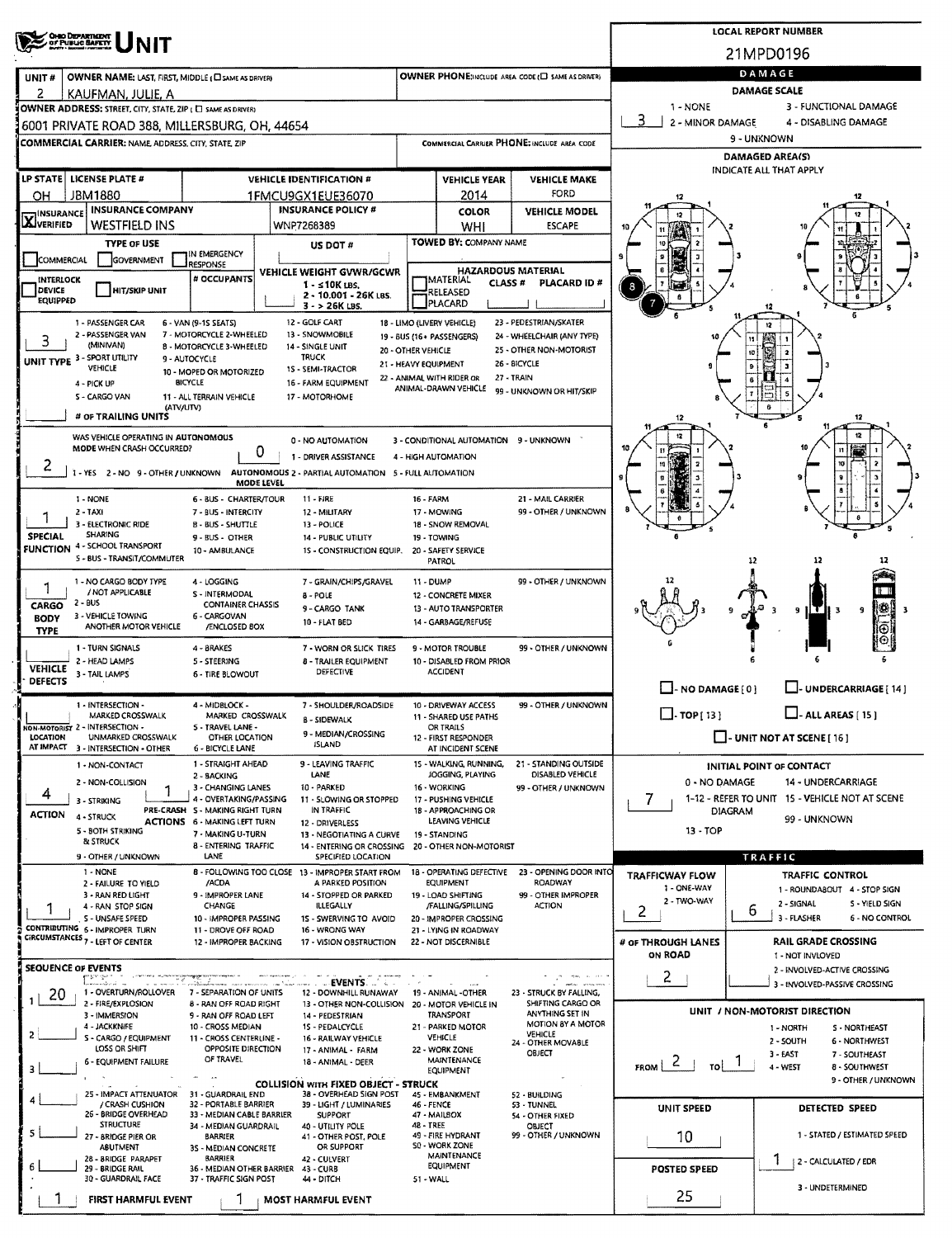| <b>OHO DEPARTMENT</b><br>OF PUBLIC SAFETY                                                                                                                                                                                                                                                                                                                                                |                                                                        |                            |                                                 |                                                      |                                                    | <b>LOCAL REPORT NUMBER</b>                               |
|------------------------------------------------------------------------------------------------------------------------------------------------------------------------------------------------------------------------------------------------------------------------------------------------------------------------------------------------------------------------------------------|------------------------------------------------------------------------|----------------------------|-------------------------------------------------|------------------------------------------------------|----------------------------------------------------|----------------------------------------------------------|
|                                                                                                                                                                                                                                                                                                                                                                                          |                                                                        |                            |                                                 |                                                      |                                                    | 21MPD0196                                                |
| UNIT#<br>OWNER NAME: LAST, FIRST, MIDDLE ( C SAME AS DRIVER)                                                                                                                                                                                                                                                                                                                             |                                                                        |                            |                                                 | OWNER PHONE:INCLUDE AREA CODE (E) SAME AS DRIVER)    |                                                    | DAMAGE                                                   |
| 2<br>KAUFMAN, JULIE, A<br>OWNER ADDRESS: STREET, CITY, STATE, ZIP ( C) SAME AS DRIVER)                                                                                                                                                                                                                                                                                                   |                                                                        |                            |                                                 |                                                      | 1 - NONE                                           | <b>DAMAGE SCALE</b><br>3 - FUNCTIONAL DAMAGE             |
| 6001 PRIVATE ROAD 388, MILLERSBURG, OH, 44654                                                                                                                                                                                                                                                                                                                                            |                                                                        |                            |                                                 |                                                      | 3<br>2 - MINOR DAMAGE                              | 4 - DISABLING DAMAGE                                     |
| COMMERCIAL CARRIER: NAME, ADDRESS, CITY, STATE, ZIP                                                                                                                                                                                                                                                                                                                                      |                                                                        |                            |                                                 | COMMERCIAL CARRIER PHONE: INCLUDE AREA CODE          |                                                    | 9 - UNKNOWN                                              |
|                                                                                                                                                                                                                                                                                                                                                                                          |                                                                        |                            |                                                 |                                                      |                                                    | <b>DAMAGED AREA(S)</b><br><b>INDICATE ALL THAT APPLY</b> |
| LP STATE   LICENSE PLATE #                                                                                                                                                                                                                                                                                                                                                               | <b>VEHICLE IDENTIFICATION #</b>                                        |                            | <b>VEHICLE YEAR</b>                             | <b>VEHICLE MAKE</b>                                  |                                                    |                                                          |
| <b>JBM1880</b><br>OН<br><b>INSURANCE COMPANY</b>                                                                                                                                                                                                                                                                                                                                         | 1FMCU9GX1EUE36070<br><b>INSURANCE POLICY #</b>                         |                            | 2014<br><b>COLOR</b>                            | FORD<br><b>VEHICLE MODEL</b>                         | 12                                                 |                                                          |
| <b>TINSURANCE</b><br><b>X</b> VERIFIED<br>WESTFIELD INS                                                                                                                                                                                                                                                                                                                                  | WNP7268389                                                             |                            | WHI                                             | <b>ESCAPE</b>                                        | 12                                                 |                                                          |
| <b>TYPE OF USE</b>                                                                                                                                                                                                                                                                                                                                                                       | US DOT #                                                               |                            | TOWED BY: COMPANY NAME                          |                                                      |                                                    |                                                          |
| IN EMERGENCY<br>COMMERCIAL<br>GOVERNMENT<br>RESPONSE                                                                                                                                                                                                                                                                                                                                     | <b>VEHICLE WEIGHT GVWR/GCWR</b>                                        |                            | <b>HAZARDOUS MATERIAL</b>                       |                                                      |                                                    |                                                          |
| # OCCUPANTS<br>INTERLOCK<br><b>HIT/SKIP UNIT</b><br>DEVICE                                                                                                                                                                                                                                                                                                                               | 1 - ≤10K LBS.                                                          |                            | MATERIAL<br><b>CLASS #</b><br>RELEASED          | PLACARD ID#                                          | 8                                                  |                                                          |
| <b>EQUIPPED</b>                                                                                                                                                                                                                                                                                                                                                                          | 2 - 10.001 - 26K LBS.<br>$3 - 26K$ LBS.                                |                            | PLACARD                                         |                                                      |                                                    |                                                          |
| 1 - PASSENGER CAR<br>6 - VAN (9-1S SEATS)<br>2 - PASSENGER VAN<br>7 - MOTORCYCLE 2-WHEELED                                                                                                                                                                                                                                                                                               | 12 - GOLF CART<br>13 - SNOWMOBILE                                      | 18 - LIMO (LIVERY VEHICLE) |                                                 | 23 - PEDESTRIAN/SKATER<br>24 - WHEELCHAIR (ANY TYPE) |                                                    |                                                          |
| 3<br>(MINIVAN)<br>8 - MOTORCYCLE 3-WHEELED                                                                                                                                                                                                                                                                                                                                               | 14 - SINGLE UNIT                                                       | 20 - OTHER VEHICLE         | 19 - BUS (16+ PASSENGERS)                       | 25 - OTHER NON-MOTORIST                              |                                                    | ∣ 2<br>10                                                |
| UNIT TYPE 3 - SPORT UTILITY<br>9 - AUTOCYCLE<br>VEHICLE<br>10 - MOPED OR MOTORIZED                                                                                                                                                                                                                                                                                                       | <b>TRUCK</b><br>1S - SEMI-TRACTOR                                      | 21 - HEAVY EQUIPMENT       | 22 - ANIMAL WITH RIDER OR                       | 26 - BICYCLE<br>27 - TRAIN                           |                                                    | ا و<br>د ا                                               |
| <b>BICYCLE</b><br>4 - PICK UP<br>S - CARGO VAN<br>11 - ALL TERRAIN VEHICLE                                                                                                                                                                                                                                                                                                               | 16 - FARM EQUIPMENT<br>17 - MOTORHOME                                  |                            | ANIMAL-DRAWN VEHICLE                            | 99 - UNKNOWN OR HIT/SKIP                             |                                                    | 6                                                        |
| (ATV/UTV)<br># OF TRAILING UNITS                                                                                                                                                                                                                                                                                                                                                         |                                                                        |                            |                                                 |                                                      | 12                                                 | 12                                                       |
| WAS VEHICLE OPERATING IN AUTONOMOUS                                                                                                                                                                                                                                                                                                                                                      |                                                                        |                            |                                                 |                                                      | 12                                                 |                                                          |
| MODE WHEN CRASH OCCURRED?                                                                                                                                                                                                                                                                                                                                                                | 0 - NO AUTOMATION<br>0<br>1 - DRIVER ASSISTANCE                        | 4 - HIGH AUTOMATION        | 3 - CONDITIONAL AUTOMATION 9 - UNKNOWN          |                                                      |                                                    | $\mathbf{H}$                                             |
| ۷<br>1 - YES 2 - NO 9 - OTHER / UNKNOWN AUTONOMOUS 2 - PARTIAL AUTOMATION 5 - FULL AUTOMATION                                                                                                                                                                                                                                                                                            |                                                                        |                            |                                                 |                                                      |                                                    | 10                                                       |
| 1 - NONE<br><b>6 - BUS - CHARTER/TOUR</b>                                                                                                                                                                                                                                                                                                                                                | MODE LEVEL<br><b>11 - FIRE</b>                                         | <b>16 - FARM</b>           |                                                 | 21 - MAIL CARRIER                                    |                                                    |                                                          |
| 2 - TAXI<br>7 - BUS - INTERCITY                                                                                                                                                                                                                                                                                                                                                          | 12 - MILITARY                                                          | 17 - MOWING                |                                                 | 99 - OTHER / UNKNOWN                                 |                                                    |                                                          |
| 3 - ELECTRONIC RIDE<br><b>B-BUS-SHUTTLE</b><br><b>SHARING</b><br><b>SPECIAL</b><br>9 - BUS - OTHER                                                                                                                                                                                                                                                                                       | 13 - POLICE<br>14 - PUBLIC UTILITY                                     | 19 - TOWING                | 18 - SNOW REMOVAL                               |                                                      |                                                    |                                                          |
| <b>FUNCTION 4 - SCHOOL TRANSPORT</b><br>10 - AMBULANCE<br>5 - BUS - TRANSIT/COMMUTER                                                                                                                                                                                                                                                                                                     | 15 - CONSTRUCTION EQUIP.                                               |                            | 20 - SAFETY SERVICE<br><b>PATROL</b>            |                                                      |                                                    | 12<br>-12                                                |
| 1 - NO CARGO BODY TYPE<br>4 - LOGGING                                                                                                                                                                                                                                                                                                                                                    | 7 - GRAIN/CHIPS/GRAVEL                                                 | 11 - DUMP                  |                                                 | 99 - OTHER / UNKNOWN                                 |                                                    |                                                          |
| 1<br>/ NOT APPLICABLE<br>S - INTERMODAL<br>$2 - BUS$                                                                                                                                                                                                                                                                                                                                     | 8 - POLE                                                               |                            | 12 - CONCRETE MIXER                             |                                                      |                                                    | 18 B                                                     |
| <b>CONTAINER CHASSIS</b><br>CARGO<br>3 - VEHICLE TOWING<br>6 - CARGOVAN<br><b>BODY</b>                                                                                                                                                                                                                                                                                                   | 9 - CARGO TANK<br>10 - FLAT BED                                        |                            | 13 - AUTO TRANSPORTER<br>14 - GARBAGE/REFUSE    |                                                      |                                                    | ι∰<br>9<br>9<br>3                                        |
| ANOTHER MOTOR VEHICLE<br>/ENCLOSED BOX<br><b>TYPE</b>                                                                                                                                                                                                                                                                                                                                    |                                                                        |                            |                                                 |                                                      |                                                    | ⊕<br>Θ                                                   |
| 1 - TURN SIGNALS<br>4 - BRAKES<br>2 - HEAD LAMPS<br>5 - STEERING                                                                                                                                                                                                                                                                                                                         | 7 - WORN OR SLICK TIRES<br><b>8 - TRAILER EQUIPMENT</b>                |                            | 9 - MOTOR TROUBLE<br>10 - DISABLED FROM PRIOR   | 99 - OTHER / UNKNOWN                                 |                                                    |                                                          |
| <b>VEHICLE</b><br>3 - TAIL LAMPS<br><b>6 - TIRE BLOWOUT</b><br><b>DEFECTS</b>                                                                                                                                                                                                                                                                                                            | DEFECTIVE                                                              |                            | <b>ACCIDENT</b>                                 |                                                      |                                                    |                                                          |
| 1 - INTERSECTION -<br>4 - MIDBLOCK -                                                                                                                                                                                                                                                                                                                                                     | 7 - SHOULDER/ROADSIDE                                                  |                            | 10 - DRIVEWAY ACCESS                            | 99 - OTHER / UNKNOWN                                 | $\Box$ - NO DAMAGE $[0]$                           | LI- UNDERCARRIAGE [ 14 ]                                 |
| MARKED CROSSWALK<br>MARKED CROSSWALK<br>NON-MOTORIST 2 - INTERSECTION -<br>5 - TRAVEL LANE -                                                                                                                                                                                                                                                                                             | <b>B - SIDEWALK</b>                                                    |                            | 11 - SHARED USE PATHS<br>OR TRAILS              |                                                      | $\Box$ . TOP[13]                                   | $\Box$ - ALL AREAS [ 15 ]                                |
| LOCATION<br>UNMARKED CROSSWALK<br>OTHER LOCATION<br>AT IMPACT<br>3 - INTERSECTION - OTHER<br><b>6 - BICYCLE LANE</b>                                                                                                                                                                                                                                                                     | 9 - MEDIAN/CROSSING<br>ISI AND                                         |                            | 12 - FIRST RESPONDER<br>AT INCIDENT SCENE       |                                                      |                                                    | $\Box$ - UNIT NOT AT SCENE [ 16 ]                        |
| 1 - STRAIGHT AHEAD<br>1 - NON-CONTACT                                                                                                                                                                                                                                                                                                                                                    | 9 - LEAVING TRAFFIC                                                    |                            | 15 - WALKING, RUNNING,                          | 21 - STANDING OUTSIDE                                |                                                    | INITIAL POINT OF CONTACT                                 |
| 2 - BACKING<br>2 - NON-COLLISION<br>3 - CHANGING LANES                                                                                                                                                                                                                                                                                                                                   | LANE<br>10 - PARKED                                                    | 16 - WORKING               | JOGGING, PLAYING                                | DISABLED VEHICLE<br>99 - OTHER / UNKNOWN             | 0 - NO DAMAGE                                      | 14 - UNDERCARRIAGE                                       |
| 4<br>4 - OVERTAKING/PASSING<br>3 - STRIKING<br>PRE-CRASH 5 - MAKING RIGHT TURN                                                                                                                                                                                                                                                                                                           | 11 - SLOWING OR STOPPED<br>IN TRAFFIC                                  |                            | 17 - PUSHING VEHICLE                            |                                                      | 7                                                  | 1-12 - REFER TO UNIT 15 - VEHICLE NOT AT SCENE           |
| <b>ACTION</b><br>4 - STRUCK<br><b>ACTIONS 6 - MAKING LEFT TURN</b><br>5 - BOTH STRIKING                                                                                                                                                                                                                                                                                                  | 12 - DRIVERLESS                                                        |                            | 18 - APPROACHING OR<br>LEAVING VEHICLE          |                                                      | <b>DIAGRAM</b><br>$13 - TOP$                       | 99 - UNKNOWN                                             |
| 7 - MAKING U-TURN<br><b>&amp; STRUCK</b><br>8 - ENTERING TRAFFIC                                                                                                                                                                                                                                                                                                                         | 13 - NEGOTIATING A CURVE<br>14 - ENTERING OR CROSSING                  | 19 - STANDING              | 20 - OTHER NON-MOTORIST                         |                                                      |                                                    |                                                          |
| LANE<br>9 - OTHER / UNKNOWN<br>1 - NONE                                                                                                                                                                                                                                                                                                                                                  | SPECIFIED LOCATION<br>8 - FOLLOWING TOO CLOSE 13 - IMPROPER START FROM |                            | 18 - OPERATING DEFECTIVE                        | 23 - OPENING DOOR INTO                               |                                                    | TRAFFIC                                                  |
| /ACDA<br>2 - FAILURE TO YIELD                                                                                                                                                                                                                                                                                                                                                            | A PARKED POSITION                                                      |                            | <b>EQUIPMENT</b>                                | ROADWAY                                              | <b>TRAFFICWAY FLOW</b><br>1 - ONE-WAY              | <b>TRAFFIC CONTROL</b><br>1 - ROUNDABOUT 4 - STOP SIGN   |
| 3 - RAN RED LIGHT<br>9 - IMPROPER LANE<br>CHANGE<br>4 - RAN STOP SIGN                                                                                                                                                                                                                                                                                                                    | 14 - STOPPED OR PARKED<br>ILLEGALLY                                    |                            | 19 - LOAD SHIFTING<br>/FALLING/SPILLING         | 99 - OTHER IMPROPER<br><b>ACTION</b>                 | 2 - TWO-WAY<br>2                                   | 2 - SIGNAL<br>S - YIELD SIGN<br>ь                        |
| S - UNSAFE SPEED<br>10 - IMPROPER PASSING<br>CONTRIBUTING 6 - IMPROPER TURN<br>11 - DROVE OFF ROAD                                                                                                                                                                                                                                                                                       | 15 - SWERVING TO AVOID<br>16 - WRONG WAY                               |                            | 20 - IMPROPER CROSSING<br>21 - LYING IN ROADWAY |                                                      |                                                    | 3 - FLASHER<br><b>6 - NO CONTROL</b>                     |
| CIRCUMSTANCES 7 - LEFT OF CENTER<br>12 - IMPROPER BACKING                                                                                                                                                                                                                                                                                                                                | 17 - VISION OBSTRUCTION                                                |                            | 22 - NOT DISCERNIBLE                            |                                                      | # OF THROUGH LANES<br>ON ROAD                      | <b>RAIL GRADE CROSSING</b><br>1 - NOT INVLOVED           |
| <b>SEQUENCE OF EVENTS</b>                                                                                                                                                                                                                                                                                                                                                                |                                                                        |                            |                                                 |                                                      |                                                    | 2 - INVOLVED-ACTIVE CROSSING                             |
| $\begin{bmatrix} 0 & 0 & 0 & 0 \\ 0 & 0 & 0 & 0 \\ 0 & 0 & 0 & 0 \\ 0 & 0 & 0 & 0 \\ 0 & 0 & 0 & 0 \\ 0 & 0 & 0 & 0 \\ 0 & 0 & 0 & 0 \\ 0 & 0 & 0 & 0 \\ 0 & 0 & 0 & 0 \\ 0 & 0 & 0 & 0 \\ 0 & 0 & 0 & 0 \\ 0 & 0 & 0 & 0 \\ 0 & 0 & 0 & 0 & 0 \\ 0 & 0 & 0 & 0 & 0 \\ 0 & 0 & 0 & 0 & 0 \\ 0 & 0 & 0 & 0 & 0 \\ 0 & 0 & 0 & $<br>1 - OVERTURN/ROLLOVER<br>7 - SEPARATION OF UNITS<br>20 | EVENTS <b>And Selection</b><br>12 - DOWNHILL RUNAWAY                   |                            | 19 - ANIMAL -OTHER                              | 23 - STRUCK BY FALLING,                              | $\mathbf{2}$                                       | 3 - INVOLVED-PASSIVE CROSSING                            |
| 2 - FIRE/EXPLOSION<br>8 - RAN OFF ROAD RIGHT<br>3 - IMMERSION<br>9 - RAN OFF ROAD LEFT                                                                                                                                                                                                                                                                                                   | 13 - OTHER NON-COLLISION 20 - MOTOR VEHICLE IN<br>14 - PEDESTRIAN      |                            | <b>TRANSPORT</b>                                | SHIFTING CARGO OR<br>ANYTHING SET IN                 |                                                    | UNIT / NON-MOTORIST DIRECTION                            |
| 4 - JACKKNIFE<br>10 - CROSS MEDIAN<br>2<br>S - CARGO / EQUIPMENT<br>11 - CROSS CENTERLINE -                                                                                                                                                                                                                                                                                              | 15 - PEDALCYCLE<br>16 - RAILWAY VEHICLE                                |                            | 21 - PARKED MOTOR<br><b>VEHICLE</b>             | MOTION BY A MOTOR<br>VEHICLE                         |                                                    | S - NORTHEAST<br>1 - NORTH                               |
| LOSS OR SHIFT<br>OPPOSITE DIRECTION<br>OF TRAVEL                                                                                                                                                                                                                                                                                                                                         | 17 - ANIMAL - FARM                                                     |                            | 22 - WORK ZONE                                  | 24 - OTHER MOVABLE<br>OBJECT                         |                                                    | 2 - SOUTH<br>6 - NORTHWEST<br>3 - EAST<br>7 - SOUTHEAST  |
| 6 - EQUIPMENT FAILURE<br>3                                                                                                                                                                                                                                                                                                                                                               | 18 - ANIMAL - DEER                                                     |                            | MAINTENANCE<br>EQUIPMENT                        |                                                      | $FROM \begin{bmatrix} 2 \\ 4 \end{bmatrix}$<br>τοί | 4 - WEST<br>8 - SOUTHWEST                                |
| 25 - IMPACT ATTENUATOR<br>31 - GUARDRAIL END                                                                                                                                                                                                                                                                                                                                             | <b>COLLISION WITH FIXED OBJECT - STRUCK</b><br>38 - OVERHEAD SIGN POST |                            | 45 - EMBANKMENT                                 | 52 - BUILDING                                        |                                                    | 9 - OTHER / UNKNOWN                                      |
| / CRASH CUSHION<br>32 - PORTABLE BARRIER<br>26 - BRIDGE OVERHEAD<br>33 - MEDIAN CABLE BARRIER                                                                                                                                                                                                                                                                                            | 39 - LIGHT / LUMINARIES<br><b>SUPPORT</b>                              | 46 - FENCE<br>47 - MAILBOX |                                                 | 53 - TUNNEL<br>54 - OTHER FIXED                      | UNIT SPEED                                         | DETECTED SPEED                                           |
| <b>STRUCTURE</b><br>34 - MEDIAN GUARDRAIL<br>27 - BRIDGE PIER OR<br><b>BARRIER</b>                                                                                                                                                                                                                                                                                                       | 40 - UTILITY POLE<br>41 - OTHER POST, POLE                             | <b>48 - TREE</b>           | 49 - FIRE HYDRANT                               | OBJECT<br>99 - OTHER / UNKNOWN                       | 10                                                 | 1 - STATED / ESTIMATED SPEED                             |
| ABUTMENT<br>35 - MEDIAN CONCRETE<br>28 - BRIDGE PARAPET<br><b>BARRIER</b>                                                                                                                                                                                                                                                                                                                | OR SUPPORT<br>42 - CULVERT                                             |                            | S0 - WORK ZONE<br><b>MAINTENANCE</b>            |                                                      |                                                    |                                                          |
| 29 - BRIDGE RAIL<br>36 - MEDIAN OTHER BARRIER<br>30 - GUARDRAIL FACE<br>37 - TRAFFIC SIGN POST                                                                                                                                                                                                                                                                                           | 43 - CURB<br>44 - DITCH                                                | 51 - WALL                  | EQUIPMENT                                       |                                                      | <b>POSTED SPEED</b>                                | -1<br>  2 - CALCULATED / EDR                             |
| FIRST HARMFUL EVENT                                                                                                                                                                                                                                                                                                                                                                      | <b>MOST HARMFUL EVENT</b>                                              |                            |                                                 |                                                      | 25                                                 | 3 - UNDETERMINED                                         |
|                                                                                                                                                                                                                                                                                                                                                                                          |                                                                        |                            |                                                 |                                                      |                                                    |                                                          |